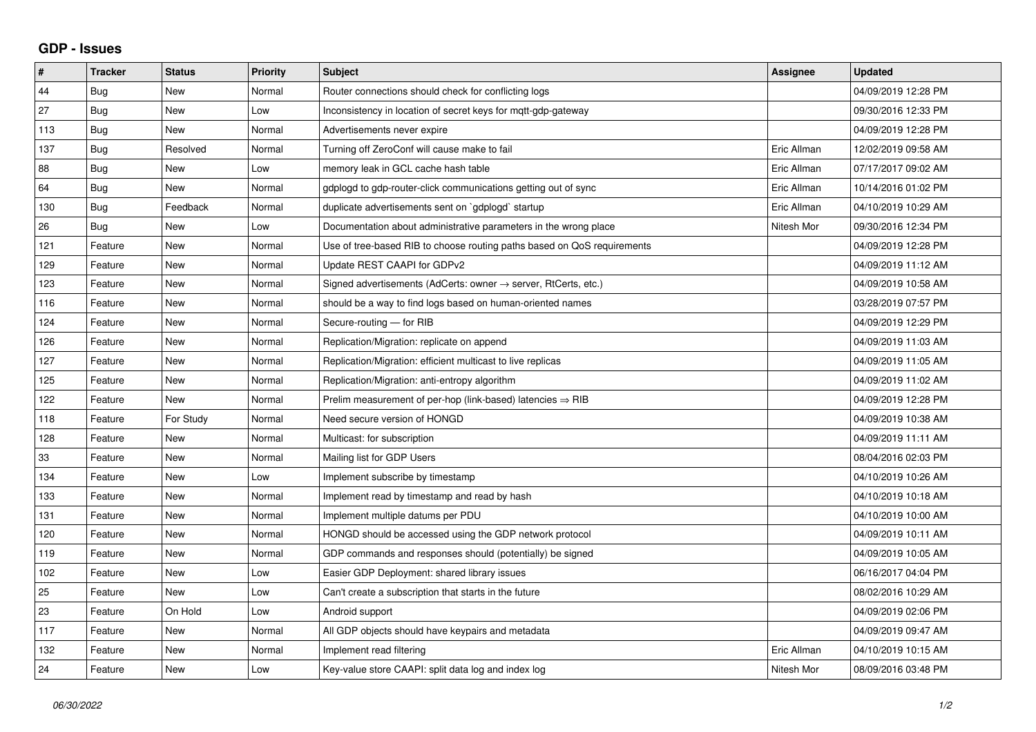## **GDP - Issues**

| #   | <b>Tracker</b> | <b>Status</b> | Priority | <b>Subject</b>                                                             | Assignee    | <b>Updated</b>      |
|-----|----------------|---------------|----------|----------------------------------------------------------------------------|-------------|---------------------|
| 44  | <b>Bug</b>     | <b>New</b>    | Normal   | Router connections should check for conflicting logs                       |             | 04/09/2019 12:28 PM |
| 27  | Bug            | <b>New</b>    | Low      | Inconsistency in location of secret keys for mgtt-gdp-gateway              |             | 09/30/2016 12:33 PM |
| 113 | <b>Bug</b>     | New           | Normal   | Advertisements never expire                                                |             | 04/09/2019 12:28 PM |
| 137 | <b>Bug</b>     | Resolved      | Normal   | Turning off ZeroConf will cause make to fail                               | Eric Allman | 12/02/2019 09:58 AM |
| 88  | Bug            | New           | Low      | memory leak in GCL cache hash table                                        | Eric Allman | 07/17/2017 09:02 AM |
| 64  | <b>Bug</b>     | <b>New</b>    | Normal   | gdplogd to gdp-router-click communications getting out of sync             | Eric Allman | 10/14/2016 01:02 PM |
| 130 | <b>Bug</b>     | Feedback      | Normal   | duplicate advertisements sent on `gdplogd` startup                         | Eric Allman | 04/10/2019 10:29 AM |
| 26  | Bug            | New           | Low      | Documentation about administrative parameters in the wrong place           | Nitesh Mor  | 09/30/2016 12:34 PM |
| 121 | Feature        | <b>New</b>    | Normal   | Use of tree-based RIB to choose routing paths based on QoS requirements    |             | 04/09/2019 12:28 PM |
| 129 | Feature        | <b>New</b>    | Normal   | Update REST CAAPI for GDPv2                                                |             | 04/09/2019 11:12 AM |
| 123 | Feature        | <b>New</b>    | Normal   | Signed advertisements (AdCerts: owner $\rightarrow$ server, RtCerts, etc.) |             | 04/09/2019 10:58 AM |
| 116 | Feature        | <b>New</b>    | Normal   | should be a way to find logs based on human-oriented names                 |             | 03/28/2019 07:57 PM |
| 124 | Feature        | <b>New</b>    | Normal   | Secure-routing - for RIB                                                   |             | 04/09/2019 12:29 PM |
| 126 | Feature        | <b>New</b>    | Normal   | Replication/Migration: replicate on append                                 |             | 04/09/2019 11:03 AM |
| 127 | Feature        | <b>New</b>    | Normal   | Replication/Migration: efficient multicast to live replicas                |             | 04/09/2019 11:05 AM |
| 125 | Feature        | <b>New</b>    | Normal   | Replication/Migration: anti-entropy algorithm                              |             | 04/09/2019 11:02 AM |
| 122 | Feature        | <b>New</b>    | Normal   | Prelim measurement of per-hop (link-based) latencies $\Rightarrow$ RIB     |             | 04/09/2019 12:28 PM |
| 118 | Feature        | For Study     | Normal   | Need secure version of HONGD                                               |             | 04/09/2019 10:38 AM |
| 128 | Feature        | <b>New</b>    | Normal   | Multicast: for subscription                                                |             | 04/09/2019 11:11 AM |
| 33  | Feature        | <b>New</b>    | Normal   | Mailing list for GDP Users                                                 |             | 08/04/2016 02:03 PM |
| 134 | Feature        | New           | Low      | Implement subscribe by timestamp                                           |             | 04/10/2019 10:26 AM |
| 133 | Feature        | <b>New</b>    | Normal   | Implement read by timestamp and read by hash                               |             | 04/10/2019 10:18 AM |
| 131 | Feature        | <b>New</b>    | Normal   | Implement multiple datums per PDU                                          |             | 04/10/2019 10:00 AM |
| 120 | Feature        | New           | Normal   | HONGD should be accessed using the GDP network protocol                    |             | 04/09/2019 10:11 AM |
| 119 | Feature        | <b>New</b>    | Normal   | GDP commands and responses should (potentially) be signed                  |             | 04/09/2019 10:05 AM |
| 102 | Feature        | <b>New</b>    | Low      | Easier GDP Deployment: shared library issues                               |             | 06/16/2017 04:04 PM |
| 25  | Feature        | <b>New</b>    | Low      | Can't create a subscription that starts in the future                      |             | 08/02/2016 10:29 AM |
| 23  | Feature        | On Hold       | Low      | Android support                                                            |             | 04/09/2019 02:06 PM |
| 117 | Feature        | <b>New</b>    | Normal   | All GDP objects should have keypairs and metadata                          |             | 04/09/2019 09:47 AM |
| 132 | Feature        | <b>New</b>    | Normal   | Implement read filtering                                                   | Eric Allman | 04/10/2019 10:15 AM |
| 24  | Feature        | <b>New</b>    | Low      | Key-value store CAAPI: split data log and index log                        | Nitesh Mor  | 08/09/2016 03:48 PM |